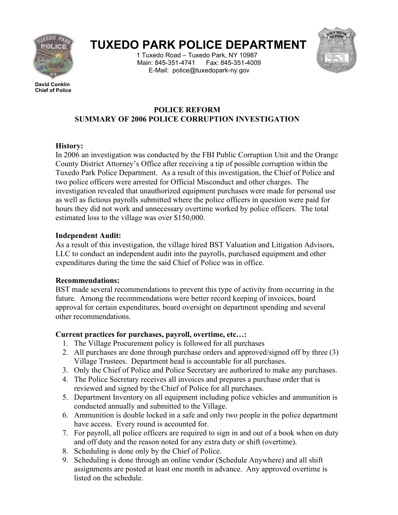

# **TUXEDO PARK POLICE DEPARTMENT**

1 Tuxedo Road – Tuxedo Park, NY 10987 Main: 845-351-4741 Fax: 845-351-4009 E-Mail: police@tuxedopark-ny.gov



**David Conklin Chief of Police**

## **POLICE REFORM SUMMARY OF 2006 POLICE CORRUPTION INVESTIGATION**

### **History:**

In 2006 an investigation was conducted by the FBI Public Corruption Unit and the Orange County District Attorney's Office after receiving a tip of possible corruption within the Tuxedo Park Police Department. As a result of this investigation, the Chief of Police and two police officers were arrested for Official Misconduct and other charges. The investigation revealed that unauthorized equipment purchases were made for personal use as well as fictious payrolls submitted where the police officers in question were paid for hours they did not work and unnecessary overtime worked by police officers. The total estimated loss to the village was over \$150,000.

#### **Independent Audit:**

As a result of this investigation, the village hired BST Valuation and Litigation Advisors, LLC to conduct an independent audit into the payrolls, purchased equipment and other expenditures during the time the said Chief of Police was in office.

#### **Recommendations:**

BST made several recommendations to prevent this type of activity from occurring in the future. Among the recommendations were better record keeping of invoices, board approval for certain expenditures, board oversight on department spending and several other recommendations.

#### **Current practices for purchases, payroll, overtime, etc…:**

- 1. The Village Procurement policy is followed for all purchases
- 2. All purchases are done through purchase orders and approved/signed off by three (3) Village Trustees. Department head is accountable for all purchases.
- 3. Only the Chief of Police and Police Secretary are authorized to make any purchases.
- 4. The Police Secretary receives all invoices and prepares a purchase order that is reviewed and signed by the Chief of Police for all purchases.
- 5. Department Inventory on all equipment including police vehicles and ammunition is conducted annually and submitted to the Village.
- 6. Ammunition is double locked in a safe and only two people in the police department have access. Every round is accounted for.
- 7. For payroll, all police officers are required to sign in and out of a book when on duty and off duty and the reason noted for any extra duty or shift (overtime).
- 8. Scheduling is done only by the Chief of Police.
- 9. Scheduling is done through an online vendor (Schedule Anywhere) and all shift assignments are posted at least one month in advance. Any approved overtime is listed on the schedule.